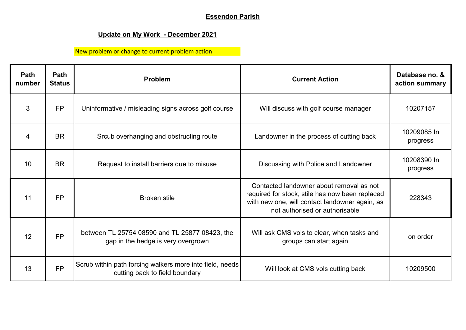## **Essendon Parish**

## **Update on My Work - December 2021**

New problem or change to current problem action

| <b>Path</b><br>number | <b>Path</b><br><b>Status</b> | <b>Problem</b>                                                                             | <b>Current Action</b>                                                                                                                                                           | Database no. &<br>action summary |
|-----------------------|------------------------------|--------------------------------------------------------------------------------------------|---------------------------------------------------------------------------------------------------------------------------------------------------------------------------------|----------------------------------|
| 3                     | <b>FP</b>                    | Uninformative / misleading signs across golf course                                        | Will discuss with golf course manager                                                                                                                                           | 10207157                         |
| 4                     | <b>BR</b>                    | Srcub overhanging and obstructing route                                                    | Landowner in the process of cutting back                                                                                                                                        | 10209085 In<br>progress          |
| 10                    | <b>BR</b>                    | Request to install barriers due to misuse                                                  | Discussing with Police and Landowner                                                                                                                                            | 10208390 In<br>progress          |
| 11                    | <b>FP</b>                    | <b>Broken stile</b>                                                                        | Contacted landowner about removal as not<br>required for stock, stile has now been replaced<br>with new one, will contact landowner again, as<br>not authorised or authorisable | 228343                           |
| 12                    | <b>FP</b>                    | between TL 25754 08590 and TL 25877 08423, the<br>gap in the hedge is very overgrown       | Will ask CMS vols to clear, when tasks and<br>groups can start again                                                                                                            | on order                         |
| 13                    | <b>FP</b>                    | Scrub within path forcing walkers more into field, needs<br>cutting back to field boundary | Will look at CMS vols cutting back                                                                                                                                              | 10209500                         |